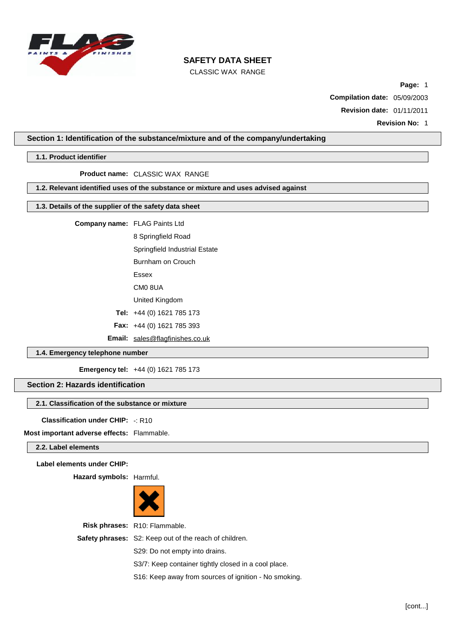

CLASSIC WAX RANGE

**Page:** 1

**Compilation date:** 05/09/2003

**Revision date:** 01/11/2011

**Revision No:** 1

## **Section 1: Identification of the substance/mixture and of the company/undertaking**

### **1.1. Product identifier**

**Product name:** CLASSIC WAX RANGE

## **1.2. Relevant identified uses of the substance or mixture and uses advised against**

## **1.3. Details of the supplier of the safety data sheet**

**Company name:** FLAG Paints Ltd

8 Springfield Road

Springfield Industrial Estate

Burnham on Crouch

Essex

CM0 8UA

United Kingdom

**Tel:** +44 (0) 1621 785 173

**Fax:** +44 (0) 1621 785 393

**Email:** [sales@flagfinishes.co.uk](mailto:sales@flagfinishes.co.uk)

## **1.4. Emergency telephone number**

**Emergency tel:** +44 (0) 1621 785 173

## **Section 2: Hazards identification**

#### **2.1. Classification of the substance or mixture**

**Classification under CHIP:** -: R10

**Most important adverse effects:** Flammable.

## **2.2. Label elements**

**Label elements under CHIP:**

**Hazard symbols:** Harmful.



**Risk phrases:** R10: Flammable. **Safety phrases:** S2: Keep out of the reach of children. S29: Do not empty into drains. S3/7: Keep container tightly closed in a cool place.

S16: Keep away from sources of ignition - No smoking.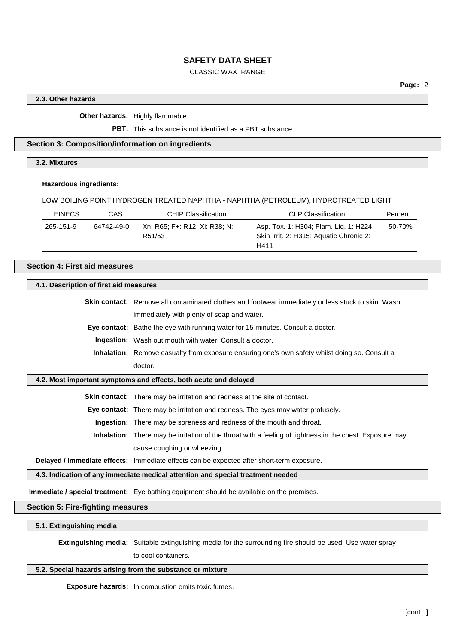## CLASSIC WAX RANGE

## **2.3. Other hazards**

**Other hazards:** Highly flammable.

**PBT:** This substance is not identified as a PBT substance.

## **Section 3: Composition/information on ingredients**

**3.2. Mixtures**

#### **Hazardous ingredients:**

## LOW BOILING POINT HYDROGEN TREATED NAPHTHA - NAPHTHA (PETROLEUM), HYDROTREATED LIGHT

| <b>EINECS</b>           | CAS | <b>CHIP Classification</b>              | <b>CLP Classification</b>                                                         | Percent     |
|-------------------------|-----|-----------------------------------------|-----------------------------------------------------------------------------------|-------------|
| 265-151-9<br>64742-49-0 |     | Xn: R65: F+: R12: Xi: R38: N:<br>R51/53 | Asp. Tox. 1: H304; Flam. Lig. 1: H224;<br>Skin Irrit. 2: H315; Aquatic Chronic 2: | $50 - 70\%$ |
|                         |     |                                         | H411                                                                              |             |

## **Section 4: First aid measures**

#### **4.1. Description of first aid measures**

**Skin contact:** Remove all contaminated clothes and footwear immediately unless stuck to skin. Wash immediately with plenty of soap and water.

**Eye contact:** Bathe the eye with running water for 15 minutes. Consult a doctor.

**Ingestion:** Wash out mouth with water. Consult a doctor.

**Inhalation:** Remove casualty from exposure ensuring one's own safety whilst doing so. Consult a doctor.

## **4.2. Most important symptoms and effects, both acute and delayed**

**Skin contact:** There may be irritation and redness at the site of contact.

**Eye contact:** There may be irritation and redness. The eyes may water profusely.

**Ingestion:** There may be soreness and redness of the mouth and throat.

**Inhalation:** There may be irritation of the throat with a feeling of tightness in the chest. Exposure may cause coughing or wheezing.

**Delayed / immediate effects:** Immediate effects can be expected after short-term exposure.

## **4.3. Indication of any immediate medical attention and special treatment needed**

**Immediate / special treatment:** Eye bathing equipment should be available on the premises.

# **Section 5: Fire-fighting measures**

**5.1. Extinguishing media**

**Extinguishing media:** Suitable extinguishing media for the surrounding fire should be used. Use water spray

to cool containers.

# **5.2. Special hazards arising from the substance or mixture**

**Exposure hazards:** In combustion emits toxic fumes.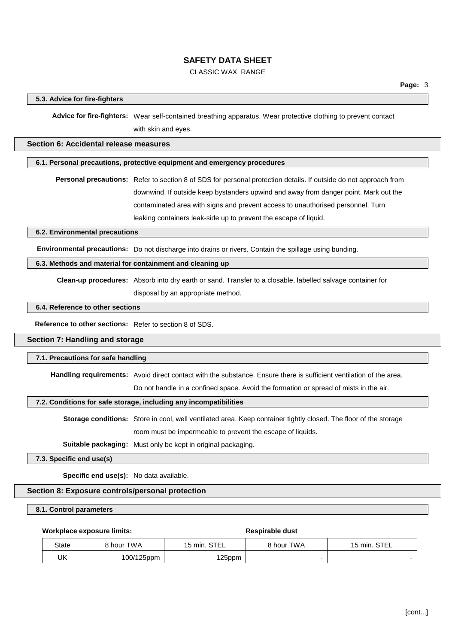## CLASSIC WAX RANGE

## **5.3. Advice for fire-fighters**

**Advice for fire-fighters:** Wear self-contained breathing apparatus. Wear protective clothing to prevent contact with skin and eyes.

#### **Section 6: Accidental release measures**

#### **6.1. Personal precautions, protective equipment and emergency procedures**

**Personal precautions:** Refer to section 8 of SDS for personal protection details. If outside do not approach from downwind. If outside keep bystanders upwind and away from danger point. Mark out the contaminated area with signs and prevent access to unauthorised personnel. Turn leaking containers leak-side up to prevent the escape of liquid.

## **6.2. Environmental precautions**

**Environmental precautions:** Do not discharge into drains or rivers. Contain the spillage using bunding.

## **6.3. Methods and material for containment and cleaning up**

**Clean-up procedures:** Absorb into dry earth or sand. Transfer to a closable, labelled salvage container for

disposal by an appropriate method.

## **6.4. Reference to other sections**

**Reference to other sections:** Refer to section 8 of SDS.

## **Section 7: Handling and storage**

#### **7.1. Precautions for safe handling**

**Handling requirements:** Avoid direct contact with the substance. Ensure there is sufficient ventilation of the area.

Do not handle in a confined space. Avoid the formation or spread of mists in the air.

### **7.2. Conditions for safe storage, including any incompatibilities**

**Storage conditions:** Store in cool, well ventilated area. Keep container tightly closed. The floor of the storage room must be impermeable to prevent the escape of liquids.

**Suitable packaging:** Must only be kept in original packaging.

**7.3. Specific end use(s)**

**Specific end use(s):** No data available.

#### **Section 8: Exposure controls/personal protection**

#### **8.1. Control parameters**

## **Workplace** exposure limits: **Respirable** dust

| State | े hour TWA | 15 min. STEL | <b>9 hour TWA</b> | 15 min. STEL |
|-------|------------|--------------|-------------------|--------------|
| UK    | 100/125ppm | 125ppm       |                   |              |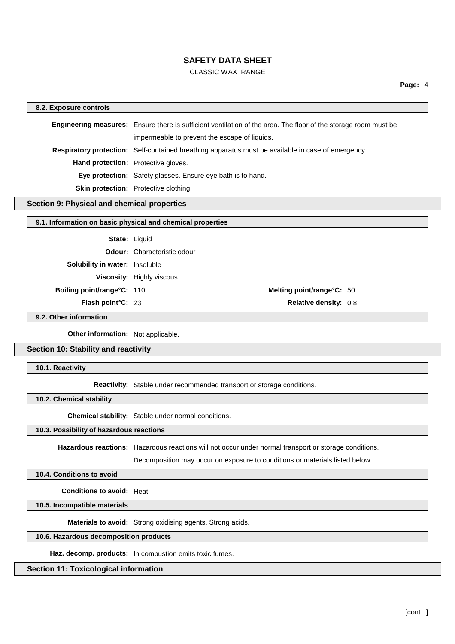## CLASSIC WAX RANGE

#### **8.2. Exposure controls**

**Engineering measures:** Ensure there is sufficient ventilation of the area. The floor of the storage room must be impermeable to prevent the escape of liquids. **Respiratory protection:** Self-contained breathing apparatus must be available in case of emergency. **Hand protection:** Protective gloves. **Eye protection:** Safety glasses. Ensure eye bath is to hand. **Skin protection:** Protective clothing.

#### **Section 9: Physical and chemical properties**

## **9.1. Information on basic physical and chemical properties**

State: Liquid **Odour:** Characteristic odour **Solubility in water:** Insoluble **Viscosity:** Highly viscous **Boiling point/range°C:** 110 **Melting point/range°C:** 50 **Flash point°C:** 23 **Relative density:** 0.8

**9.2. Other information**

**Other information:** Not applicable.

## **Section 10: Stability and reactivity**

**10.1. Reactivity**

**Reactivity:** Stable under recommended transport or storage conditions.

**10.2. Chemical stability**

**Chemical stability:** Stable under normal conditions.

## **10.3. Possibility of hazardous reactions**

**Hazardous reactions:** Hazardous reactions will not occur under normal transport or storage conditions.

Decomposition may occur on exposure to conditions or materials listed below.

## **10.4. Conditions to avoid**

**Conditions to avoid:** Heat.

**10.5. Incompatible materials**

**Materials to avoid:** Strong oxidising agents. Strong acids.

#### **10.6. Hazardous decomposition products**

**Haz. decomp. products:** In combustion emits toxic fumes.

#### **Section 11: Toxicological information**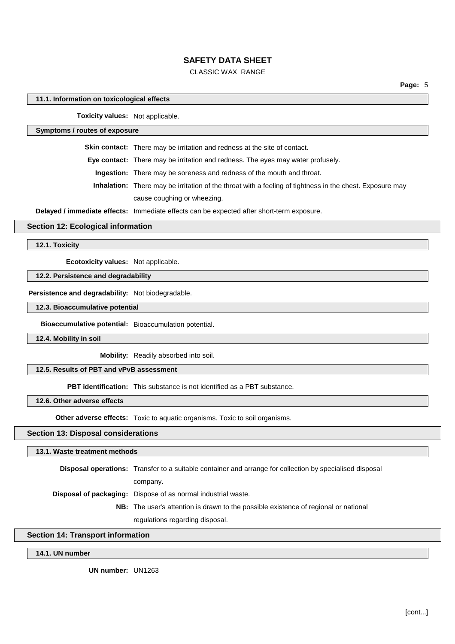## CLASSIC WAX RANGE

#### **11.1. Information on toxicological effects**

**Toxicity values:** Not applicable.

**Symptoms / routes of exposure**

**Skin contact:** There may be irritation and redness at the site of contact.

**Eye contact:** There may be irritation and redness. The eyes may water profusely.

**Ingestion:** There may be soreness and redness of the mouth and throat.

**Inhalation:** There may be irritation of the throat with a feeling of tightness in the chest. Exposure may cause coughing or wheezing.

**Delayed / immediate effects:** Immediate effects can be expected after short-term exposure.

**Section 12: Ecological information**

**12.1. Toxicity**

**Ecotoxicity values:** Not applicable.

#### **12.2. Persistence and degradability**

**Persistence and degradability:** Not biodegradable.

**12.3. Bioaccumulative potential**

**Bioaccumulative potential:** Bioaccumulation potential.

**12.4. Mobility in soil**

**Mobility:** Readily absorbed into soil.

**12.5. Results of PBT and vPvB assessment**

**PBT identification:** This substance is not identified as a PBT substance.

**12.6. Other adverse effects**

**Other adverse effects:** Toxic to aquatic organisms. Toxic to soil organisms.

## **Section 13: Disposal considerations**

#### **13.1. Waste treatment methods**

**Disposal operations:** Transfer to a suitable container and arrange for collection by specialised disposal company. **Disposal of packaging:** Dispose of as normal industrial waste. **NB:** The user's attention is drawn to the possible existence of regional or national regulations regarding disposal.

## **Section 14: Transport information**

**14.1. UN number**

**UN number:** UN1263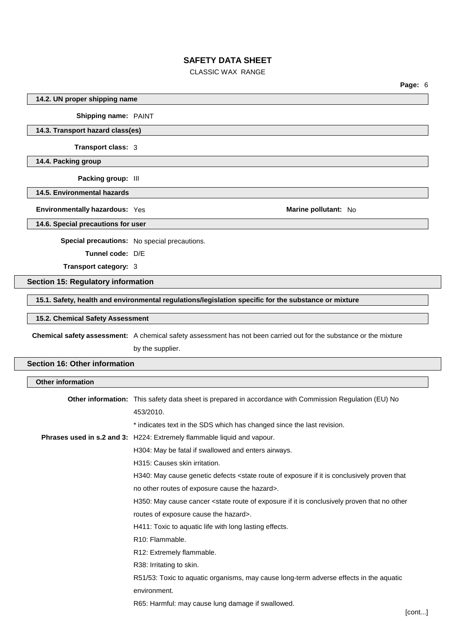| <b>CLASSIC WAX RANGE</b>                  |                                                                                                                                             |  |  |  |
|-------------------------------------------|---------------------------------------------------------------------------------------------------------------------------------------------|--|--|--|
|                                           | Page: 6                                                                                                                                     |  |  |  |
| 14.2. UN proper shipping name             |                                                                                                                                             |  |  |  |
| Shipping name: PAINT                      |                                                                                                                                             |  |  |  |
| 14.3. Transport hazard class(es)          |                                                                                                                                             |  |  |  |
| Transport class: 3                        |                                                                                                                                             |  |  |  |
| 14.4. Packing group                       |                                                                                                                                             |  |  |  |
| Packing group: III                        |                                                                                                                                             |  |  |  |
| 14.5. Environmental hazards               |                                                                                                                                             |  |  |  |
| Environmentally hazardous: Yes            | Marine pollutant: No                                                                                                                        |  |  |  |
| 14.6. Special precautions for user        |                                                                                                                                             |  |  |  |
|                                           | Special precautions: No special precautions.                                                                                                |  |  |  |
| Tunnel code: D/E                          |                                                                                                                                             |  |  |  |
| Transport category: 3                     |                                                                                                                                             |  |  |  |
| <b>Section 15: Regulatory information</b> |                                                                                                                                             |  |  |  |
|                                           | 15.1. Safety, health and environmental regulations/legislation specific for the substance or mixture                                        |  |  |  |
| 15.2. Chemical Safety Assessment          |                                                                                                                                             |  |  |  |
|                                           | Chemical safety assessment: A chemical safety assessment has not been carried out for the substance or the mixture                          |  |  |  |
|                                           | by the supplier.                                                                                                                            |  |  |  |
| <b>Section 16: Other information</b>      |                                                                                                                                             |  |  |  |
| <b>Other information</b>                  |                                                                                                                                             |  |  |  |
|                                           | Other information: This safety data sheet is prepared in accordance with Commission Regulation (EU) No                                      |  |  |  |
|                                           | 453/2010.                                                                                                                                   |  |  |  |
|                                           | * indicates text in the SDS which has changed since the last revision.                                                                      |  |  |  |
|                                           | Phrases used in s.2 and 3: H224: Extremely flammable liquid and vapour.                                                                     |  |  |  |
|                                           | H304: May be fatal if swallowed and enters airways.                                                                                         |  |  |  |
|                                           | H315: Causes skin irritation.                                                                                                               |  |  |  |
|                                           | H340: May cause genetic defects <state conclusively="" exposure="" if="" is="" it="" of="" proven="" route="" th="" that<=""></state>       |  |  |  |
|                                           | no other routes of exposure cause the hazard>.                                                                                              |  |  |  |
|                                           | H350: May cause cancer <state conclusively="" exposure="" if="" is="" it="" no="" of="" other<="" proven="" route="" th="" that=""></state> |  |  |  |
|                                           | routes of exposure cause the hazard>.                                                                                                       |  |  |  |
|                                           | H411: Toxic to aquatic life with long lasting effects.                                                                                      |  |  |  |
|                                           | R10: Flammable.                                                                                                                             |  |  |  |

R12: Extremely flammable.

R38: Irritating to skin.

R51/53: Toxic to aquatic organisms, may cause long-term adverse effects in the aquatic environment.

R65: Harmful: may cause lung damage if swallowed.